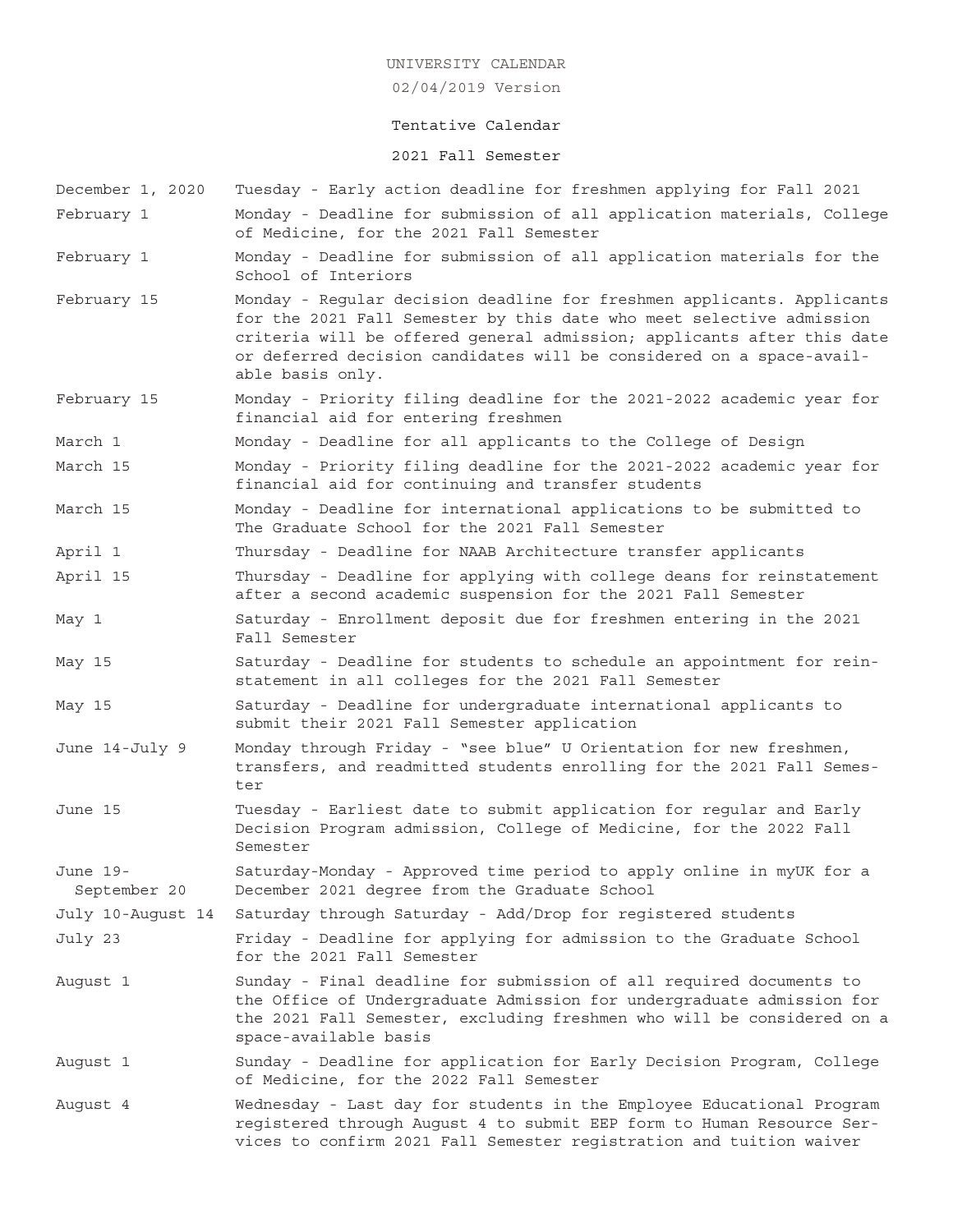02/04/2019 Version

## Tentative Calendar

## 2021 Fall Semester

- December 1, 2020 Tuesday Early action deadline for freshmen applying for Fall 2021 February 1 Monday - Deadline for submission of all application materials, College of Medicine, for the 2021 Fall Semester February 1 Monday - Deadline for submission of all application materials for the School of Interiors February 15 Monday - Regular decision deadline for freshmen applicants. Applicants for the 2021 Fall Semester by this date who meet selective admission criteria will be offered general admission; applicants after this date or deferred decision candidates will be considered on a space-available basis only. February 15 Monday - Priority filing deadline for the 2021-2022 academic year for financial aid for entering freshmen March 1 Monday - Deadline for all applicants to the College of Design March 15 Monday - Priority filing deadline for the 2021-2022 academic year for financial aid for continuing and transfer students March 15 Monday - Deadline for international applications to be submitted to The Graduate School for the 2021 Fall Semester April 1 Thursday - Deadline for NAAB Architecture transfer applicants April 15 Thursday - Deadline for applying with college deans for reinstatement after a second academic suspension for the 2021 Fall Semester May 1 Saturday - Enrollment deposit due for freshmen entering in the 2021 Fall Semester May 15 Saturday - Deadline for students to schedule an appointment for reinstatement in all colleges for the 2021 Fall Semester May 15 Saturday - Deadline for undergraduate international applicants to submit their 2021 Fall Semester application June 14-July 9 Monday through Friday - "see blue" U Orientation for new freshmen, transfers, and readmitted students enrolling for the 2021 Fall Semester June 15 Tuesday - Earliest date to submit application for regular and Early Decision Program admission, College of Medicine, for the 2022 Fall Semester June 19- Saturday-Monday - Approved time period to apply online in myUK for a September 20 December 2021 degree from the Graduate School July 10-August 14 Saturday through Saturday - Add/Drop for registered students July 23 Friday - Deadline for applying for admission to the Graduate School for the 2021 Fall Semester August 1 Sunday - Final deadline for submission of all required documents to the Office of Undergraduate Admission for undergraduate admission for the 2021 Fall Semester, excluding freshmen who will be considered on a space-available basis August 1 Sunday - Deadline for application for Early Decision Program, College of Medicine, for the 2022 Fall Semester August 4 Wednesday - Last day for students in the Employee Educational Program
	- registered through August 4 to submit EEP form to Human Resource Services to confirm 2021 Fall Semester registration and tuition waiver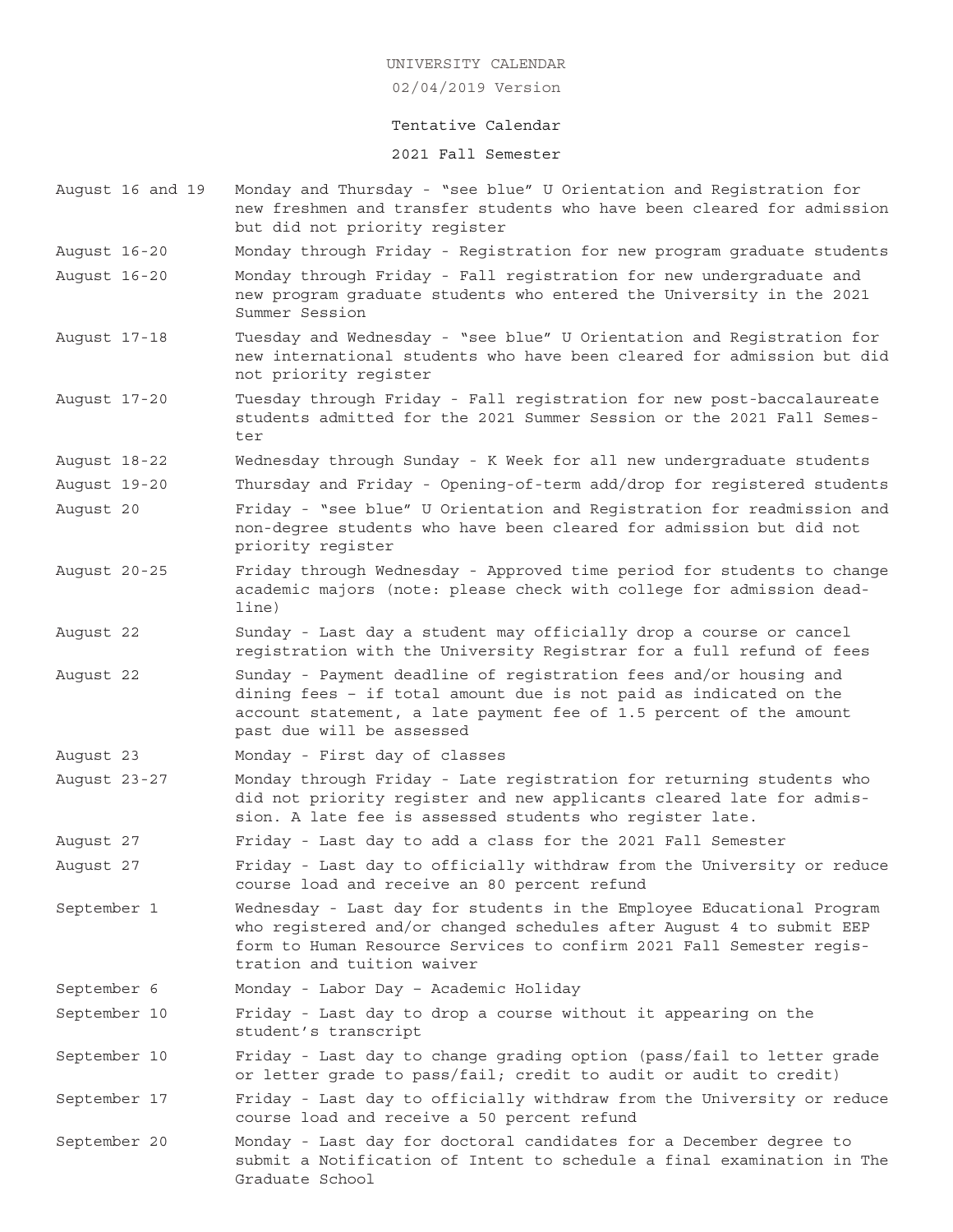02/04/2019 Version

### Tentative Calendar

2021 Fall Semester

- August 16 and 19 Monday and Thursday "see blue" U Orientation and Registration for new freshmen and transfer students who have been cleared for admission but did not priority register
- August 16-20 Monday through Friday Registration for new program graduate students
- August 16-20 Monday through Friday Fall registration for new undergraduate and new program graduate students who entered the University in the 2021 Summer Session
- August 17-18 Tuesday and Wednesday "see blue" U Orientation and Registration for new international students who have been cleared for admission but did not priority register
- August 17-20 Tuesday through Friday Fall registration for new post-baccalaureate students admitted for the 2021 Summer Session or the 2021 Fall Semester
- August 18-22 Wednesday through Sunday K Week for all new undergraduate students
- August 19-20 Thursday and Friday Opening-of-term add/drop for registered students August 20 Friday - "see blue" U Orientation and Registration for readmission and non-degree students who have been cleared for admission but did not priority register
- August 20-25 Friday through Wednesday Approved time period for students to change academic majors (note: please check with college for admission deadline)
- August 22 Sunday Last day a student may officially drop a course or cancel registration with the University Registrar for a full refund of fees
- August 22 Sunday Payment deadline of registration fees and/or housing and dining fees – if total amount due is not paid as indicated on the account statement, a late payment fee of 1.5 percent of the amount past due will be assessed
- August 23 Monday First day of classes
- August 23-27 Monday through Friday Late registration for returning students who did not priority register and new applicants cleared late for admission. A late fee is assessed students who register late.

August 27 Friday - Last day to add a class for the 2021 Fall Semester

August 27 Friday - Last day to officially withdraw from the University or reduce course load and receive an 80 percent refund

- September 1 Wednesday Last day for students in the Employee Educational Program who registered and/or changed schedules after August 4 to submit EEP form to Human Resource Services to confirm 2021 Fall Semester registration and tuition waiver
- September 6 Monday Labor Day Academic Holiday

September 10 Friday - Last day to drop a course without it appearing on the student's transcript

September 10 Friday - Last day to change grading option (pass/fail to letter grade or letter grade to pass/fail; credit to audit or audit to credit)

September 17 Friday - Last day to officially withdraw from the University or reduce course load and receive a 50 percent refund

September 20 Monday - Last day for doctoral candidates for a December degree to submit a Notification of Intent to schedule a final examination in The Graduate School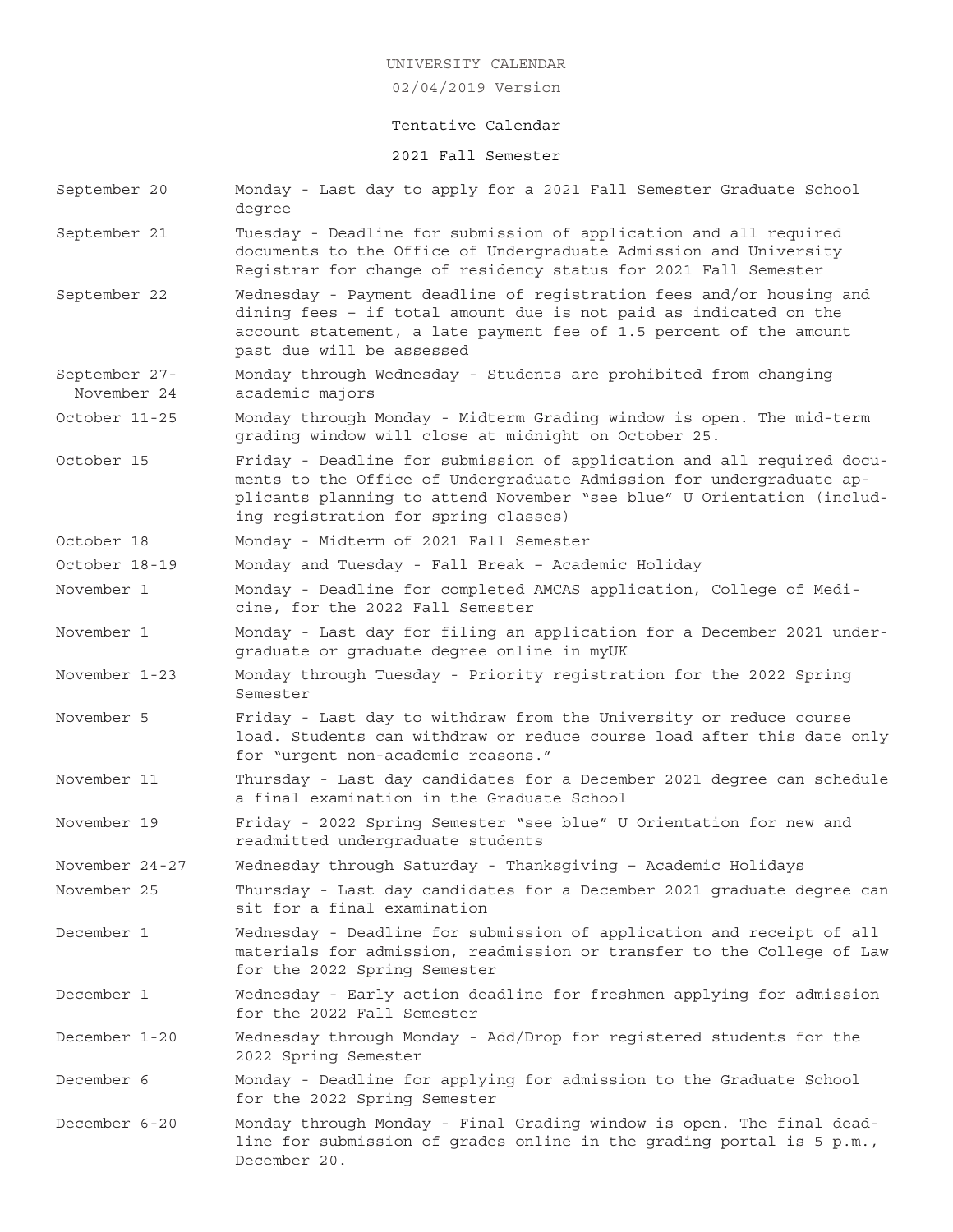02/04/2019 Version

## Tentative Calendar

#### 2021 Fall Semester

September 20 Monday - Last day to apply for a 2021 Fall Semester Graduate School degree September 21 Tuesday - Deadline for submission of application and all required documents to the Office of Undergraduate Admission and University Registrar for change of residency status for 2021 Fall Semester September 22 Wednesday - Payment deadline of registration fees and/or housing and dining fees – if total amount due is not paid as indicated on the account statement, a late payment fee of 1.5 percent of the amount past due will be assessed September 27- Monday through Wednesday - Students are prohibited from changing November 24 academic majors October 11-25 Monday through Monday - Midterm Grading window is open. The mid-term grading window will close at midnight on October 25. October 15 Friday - Deadline for submission of application and all required documents to the Office of Undergraduate Admission for undergraduate applicants planning to attend November "see blue" U Orientation (including registration for spring classes) October 18 Monday - Midterm of 2021 Fall Semester October 18-19 Monday and Tuesday - Fall Break – Academic Holiday November 1 Monday - Deadline for completed AMCAS application, College of Medicine, for the 2022 Fall Semester November 1 Monday - Last day for filing an application for a December 2021 undergraduate or graduate degree online in myUK November 1-23 Monday through Tuesday - Priority registration for the 2022 Spring Semester November 5 Friday - Last day to withdraw from the University or reduce course load. Students can withdraw or reduce course load after this date only for "urgent non-academic reasons." November 11 Thursday - Last day candidates for a December 2021 degree can schedule a final examination in the Graduate School November 19 Friday - 2022 Spring Semester "see blue" U Orientation for new and readmitted undergraduate students November 24-27 Wednesday through Saturday - Thanksgiving – Academic Holidays November 25 Thursday - Last day candidates for a December 2021 graduate degree can sit for a final examination December 1 Wednesday - Deadline for submission of application and receipt of all materials for admission, readmission or transfer to the College of Law for the 2022 Spring Semester December 1 Wednesday - Early action deadline for freshmen applying for admission for the 2022 Fall Semester December 1-20 Wednesday through Monday - Add/Drop for registered students for the 2022 Spring Semester December 6 Monday - Deadline for applying for admission to the Graduate School for the 2022 Spring Semester December 6-20 Monday through Monday - Final Grading window is open. The final deadline for submission of grades online in the grading portal is 5 p.m.,

December 20.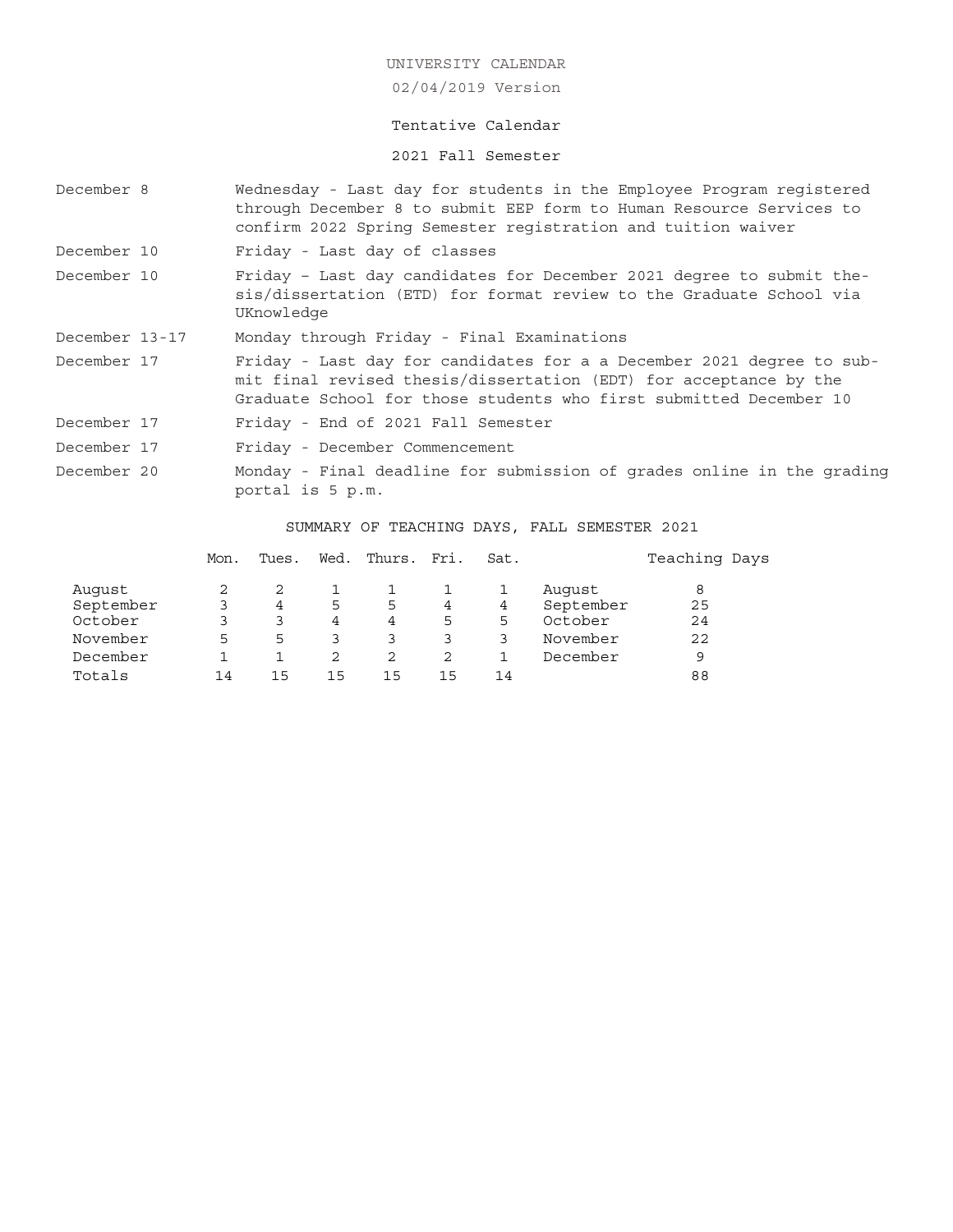02/04/2019 Version

# Tentative Calendar

2021 Fall Semester

| December 8                                                                                                |  |                                                                                                                                                                                                                  |                                                                                                                                                           |             |                       |                           |             |                                              | Wednesday - Last day for students in the Employee Program registered<br>through December 8 to submit EEP form to Human Resource Services to<br>confirm 2022 Spring Semester registration and tuition waiver |  |  |  |
|-----------------------------------------------------------------------------------------------------------|--|------------------------------------------------------------------------------------------------------------------------------------------------------------------------------------------------------------------|-----------------------------------------------------------------------------------------------------------------------------------------------------------|-------------|-----------------------|---------------------------|-------------|----------------------------------------------|-------------------------------------------------------------------------------------------------------------------------------------------------------------------------------------------------------------|--|--|--|
| December 10                                                                                               |  |                                                                                                                                                                                                                  | Friday - Last day of classes                                                                                                                              |             |                       |                           |             |                                              |                                                                                                                                                                                                             |  |  |  |
| December 10                                                                                               |  |                                                                                                                                                                                                                  | Friday - Last day candidates for December 2021 degree to submit the-<br>sis/dissertation (ETD) for format review to the Graduate School via<br>UKnowledge |             |                       |                           |             |                                              |                                                                                                                                                                                                             |  |  |  |
| December 13-17                                                                                            |  | Monday through Friday - Final Examinations                                                                                                                                                                       |                                                                                                                                                           |             |                       |                           |             |                                              |                                                                                                                                                                                                             |  |  |  |
| December 17                                                                                               |  | Friday - Last day for candidates for a a December 2021 degree to sub-<br>mit final revised thesis/dissertation (EDT) for acceptance by the<br>Graduate School for those students who first submitted December 10 |                                                                                                                                                           |             |                       |                           |             |                                              |                                                                                                                                                                                                             |  |  |  |
| December 17                                                                                               |  | Friday - End of 2021 Fall Semester                                                                                                                                                                               |                                                                                                                                                           |             |                       |                           |             |                                              |                                                                                                                                                                                                             |  |  |  |
| December 17                                                                                               |  | Friday - December Commencement                                                                                                                                                                                   |                                                                                                                                                           |             |                       |                           |             |                                              |                                                                                                                                                                                                             |  |  |  |
| December 20<br>Monday - Final deadline for submission of grades online in the grading<br>portal is 5 p.m. |  |                                                                                                                                                                                                                  |                                                                                                                                                           |             |                       |                           |             |                                              |                                                                                                                                                                                                             |  |  |  |
|                                                                                                           |  |                                                                                                                                                                                                                  |                                                                                                                                                           |             |                       |                           |             | SUMMARY OF TEACHING DAYS, FALL SEMESTER 2021 |                                                                                                                                                                                                             |  |  |  |
|                                                                                                           |  | Mon.                                                                                                                                                                                                             | Tues.                                                                                                                                                     |             | Wed. Thurs. Fri. Sat. |                           |             |                                              | Teaching Days                                                                                                                                                                                               |  |  |  |
| Auqust<br>September<br>October                                                                            |  | 2<br>3<br>3                                                                                                                                                                                                      | 2<br>$\overline{4}$<br>3                                                                                                                                  | ı<br>5<br>4 | 1<br>5<br>4           | 1<br>$4\overline{ }$<br>5 | 1<br>4<br>5 | Auqust<br>September<br>October               | 8<br>25<br>24                                                                                                                                                                                               |  |  |  |

November 5533333 November 22 December 1 1 2 2 2 1 December 9 Totals 14 15 15 15 15 14 88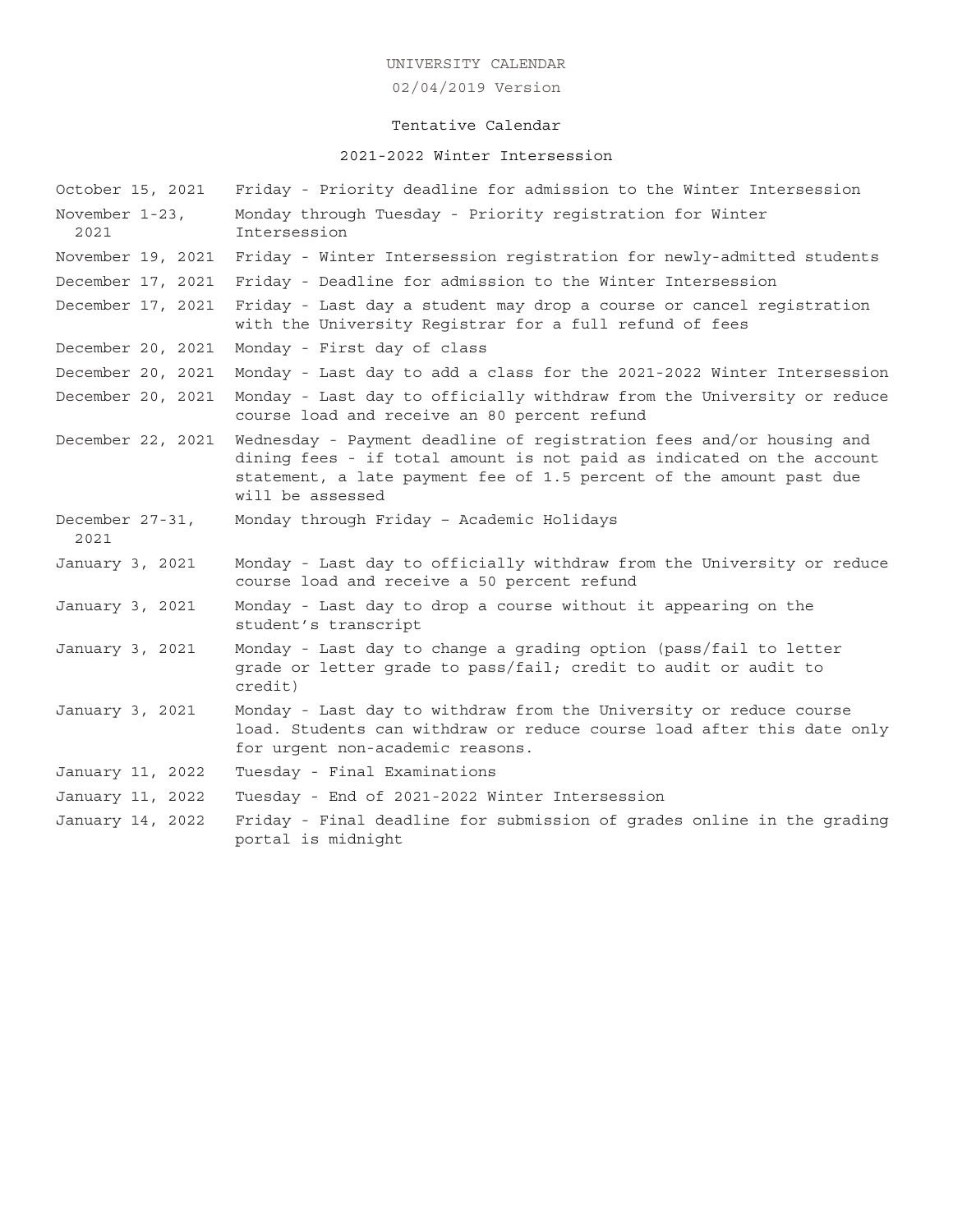# 02/04/2019 Version

# Tentative Calendar

# 2021-2022 Winter Intersession

| October 15, 2021        | Friday - Priority deadline for admission to the Winter Intersession                                                                                                                                                                      |
|-------------------------|------------------------------------------------------------------------------------------------------------------------------------------------------------------------------------------------------------------------------------------|
| November 1-23,<br>2021  | Monday through Tuesday - Priority registration for Winter<br>Intersession                                                                                                                                                                |
| November 19, 2021       | Friday - Winter Intersession registration for newly-admitted students                                                                                                                                                                    |
| December 17, 2021       | Friday - Deadline for admission to the Winter Intersession                                                                                                                                                                               |
| December 17, 2021       | Friday - Last day a student may drop a course or cancel registration<br>with the University Registrar for a full refund of fees                                                                                                          |
| December 20, 2021       | Monday - First day of class                                                                                                                                                                                                              |
| December 20, 2021       | Monday - Last day to add a class for the 2021-2022 Winter Intersession                                                                                                                                                                   |
| December 20, 2021       | Monday - Last day to officially withdraw from the University or reduce<br>course load and receive an 80 percent refund                                                                                                                   |
| December 22, 2021       | Wednesday - Payment deadline of registration fees and/or housing and<br>dining fees - if total amount is not paid as indicated on the account<br>statement, a late payment fee of 1.5 percent of the amount past due<br>will be assessed |
| December 27-31,<br>2021 | Monday through Friday - Academic Holidays                                                                                                                                                                                                |
| January 3, 2021         | Monday - Last day to officially withdraw from the University or reduce<br>course load and receive a 50 percent refund                                                                                                                    |
| January 3, 2021         | Monday - Last day to drop a course without it appearing on the<br>student's transcript                                                                                                                                                   |
| January 3, 2021         | Monday - Last day to change a grading option (pass/fail to letter<br>grade or letter grade to pass/fail; credit to audit or audit to<br>credit)                                                                                          |
| January 3, 2021         | Monday - Last day to withdraw from the University or reduce course<br>load. Students can withdraw or reduce course load after this date only<br>for urgent non-academic reasons.                                                         |
| January 11, 2022        | Tuesday - Final Examinations                                                                                                                                                                                                             |
| January 11, 2022        | Tuesday - End of 2021-2022 Winter Intersession                                                                                                                                                                                           |
| January 14, 2022        | Friday - Final deadline for submission of grades online in the grading<br>portal is midnight                                                                                                                                             |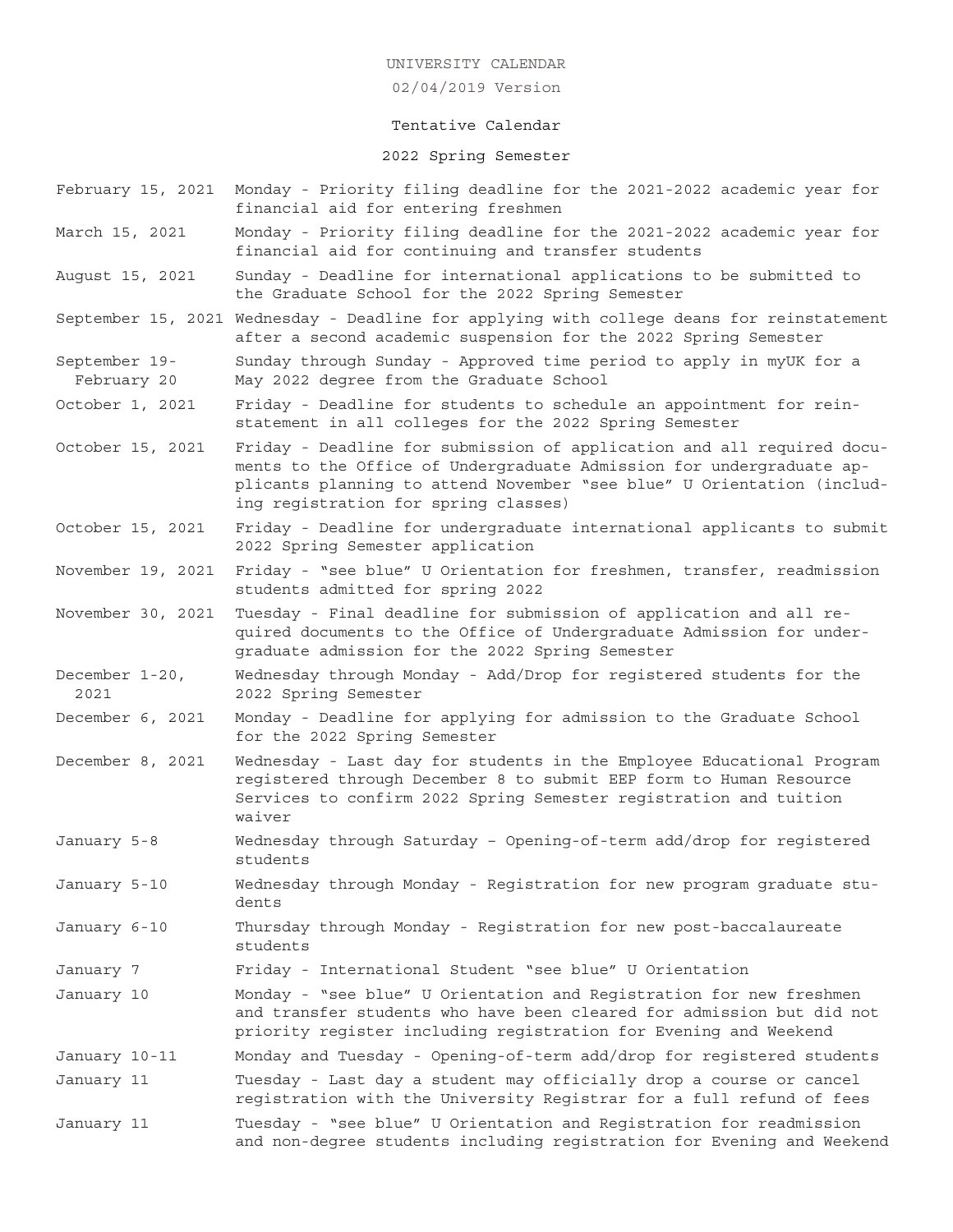### 02/04/2019 Version

### Tentative Calendar

## 2022 Spring Semester

- February 15, 2021 Monday Priority filing deadline for the 2021-2022 academic year for financial aid for entering freshmen
- March 15, 2021 Monday Priority filing deadline for the 2021-2022 academic year for financial aid for continuing and transfer students
- August 15, 2021 Sunday Deadline for international applications to be submitted to the Graduate School for the 2022 Spring Semester
- September 15, 2021 Wednesday Deadline for applying with college deans for reinstatement after a second academic suspension for the 2022 Spring Semester
- September 19- Sunday through Sunday Approved time period to apply in myUK for a February 20 May 2022 degree from the Graduate School
- October 1, 2021 Friday Deadline for students to schedule an appointment for reinstatement in all colleges for the 2022 Spring Semester
- October 15, 2021 Friday Deadline for submission of application and all required documents to the Office of Undergraduate Admission for undergraduate applicants planning to attend November "see blue" U Orientation (including registration for spring classes)
- October 15, 2021 Friday Deadline for undergraduate international applicants to submit 2022 Spring Semester application
- November 19, 2021 Friday "see blue" U Orientation for freshmen, transfer, readmission students admitted for spring 2022
- November 30, 2021 Tuesday Final deadline for submission of application and all required documents to the Office of Undergraduate Admission for undergraduate admission for the 2022 Spring Semester
- December 1-20, Wednesday through Monday Add/Drop for registered students for the 2021 2022 Spring Semester
- December 6, 2021 Monday Deadline for applying for admission to the Graduate School for the 2022 Spring Semester
- December 8, 2021 Wednesday Last day for students in the Employee Educational Program registered through December 8 to submit EEP form to Human Resource Services to confirm 2022 Spring Semester registration and tuition waiver
- January 5-8 Wednesday through Saturday Opening-of-term add/drop for registered students
- January 5-10 Wednesday through Monday Registration for new program graduate students
- January 6-10 Thursday through Monday Registration for new post-baccalaureate students
- January 7 Friday International Student "see blue" U Orientation
- January 10 Monday "see blue" U Orientation and Registration for new freshmen and transfer students who have been cleared for admission but did not priority register including registration for Evening and Weekend
- January 10-11 Monday and Tuesday Opening-of-term add/drop for registered students January 11 Tuesday - Last day a student may officially drop a course or cancel
- registration with the University Registrar for a full refund of fees
- January 11 Tuesday "see blue" U Orientation and Registration for readmission and non-degree students including registration for Evening and Weekend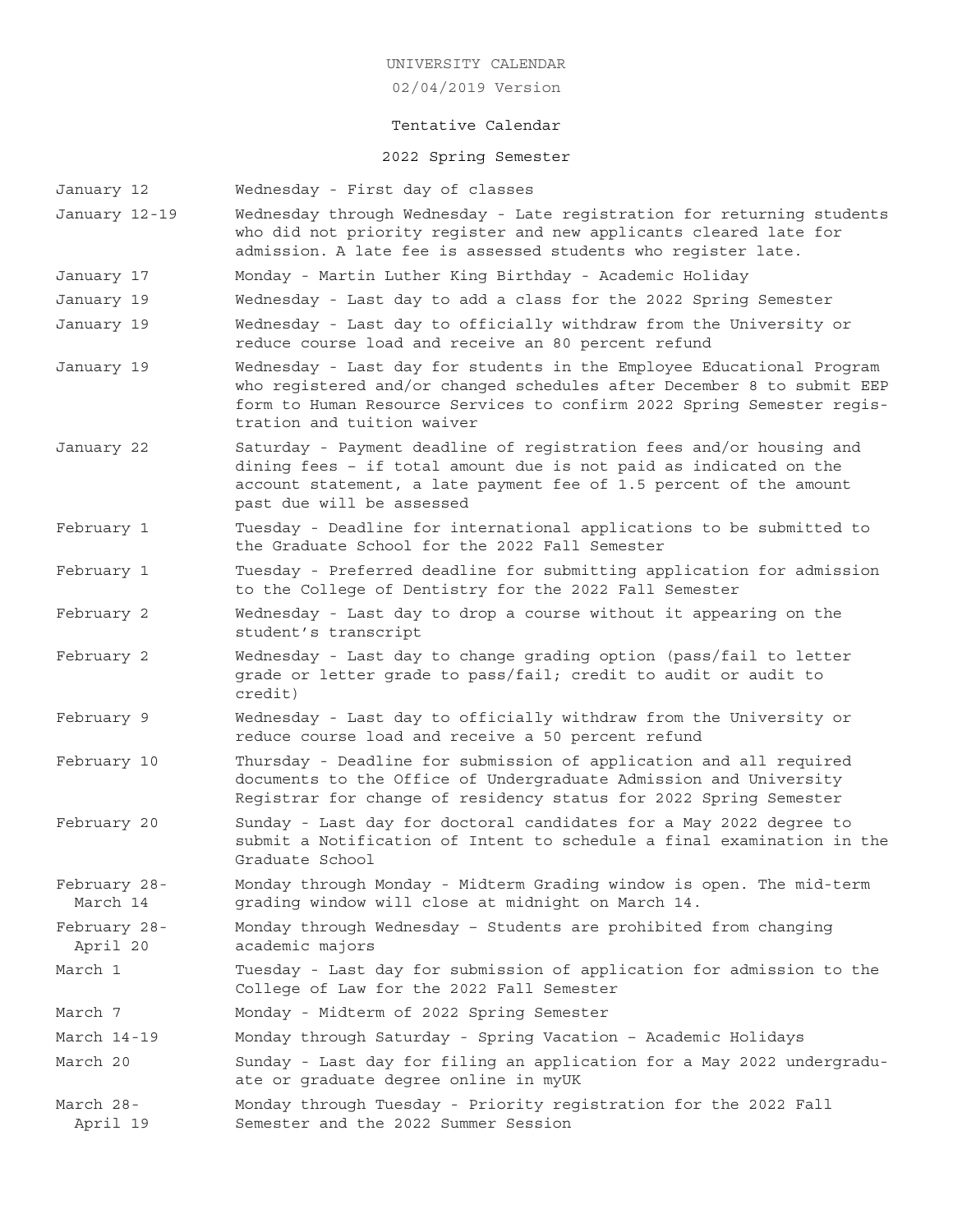02/04/2019 Version

# Tentative Calendar

# 2022 Spring Semester

- January 12 Wednesday First day of classes
- January 12-19 Wednesday through Wednesday Late registration for returning students who did not priority register and new applicants cleared late for admission. A late fee is assessed students who register late.
- January 17 Monday Martin Luther King Birthday Academic Holiday
- January 19 Wednesday Last day to add a class for the 2022 Spring Semester
- January 19 Wednesday Last day to officially withdraw from the University or reduce course load and receive an 80 percent refund
- January 19 Wednesday Last day for students in the Employee Educational Program who registered and/or changed schedules after December 8 to submit EEP form to Human Resource Services to confirm 2022 Spring Semester registration and tuition waiver
- January 22 Saturday Payment deadline of registration fees and/or housing and dining fees – if total amount due is not paid as indicated on the account statement, a late payment fee of 1.5 percent of the amount past due will be assessed
- February 1 Tuesday Deadline for international applications to be submitted to the Graduate School for the 2022 Fall Semester
- February 1 Tuesday Preferred deadline for submitting application for admission to the College of Dentistry for the 2022 Fall Semester
- February 2 Wednesday Last day to drop a course without it appearing on the student's transcript
- February 2 Wednesday Last day to change grading option (pass/fail to letter grade or letter grade to pass/fail; credit to audit or audit to credit)
- February 9 Wednesday Last day to officially withdraw from the University or reduce course load and receive a 50 percent refund
- February 10 Thursday Deadline for submission of application and all required documents to the Office of Undergraduate Admission and University Registrar for change of residency status for 2022 Spring Semester
- February 20 Sunday Last day for doctoral candidates for a May 2022 degree to submit a Notification of Intent to schedule a final examination in the Graduate School
- February 28- Monday through Monday Midterm Grading window is open. The mid-term March 14 grading window will close at midnight on March 14.
- February 28- Monday through Wednesday Students are prohibited from changing April 20 academic majors
- March 1 Tuesday Last day for submission of application for admission to the College of Law for the 2022 Fall Semester
- March 7 Monday Midterm of 2022 Spring Semester
- March 14-19 Monday through Saturday Spring Vacation Academic Holidays
- March 20 Sunday Last day for filing an application for a May 2022 undergraduate or graduate degree online in myUK
- March 28- Monday through Tuesday Priority registration for the 2022 Fall April 19 Semester and the 2022 Summer Session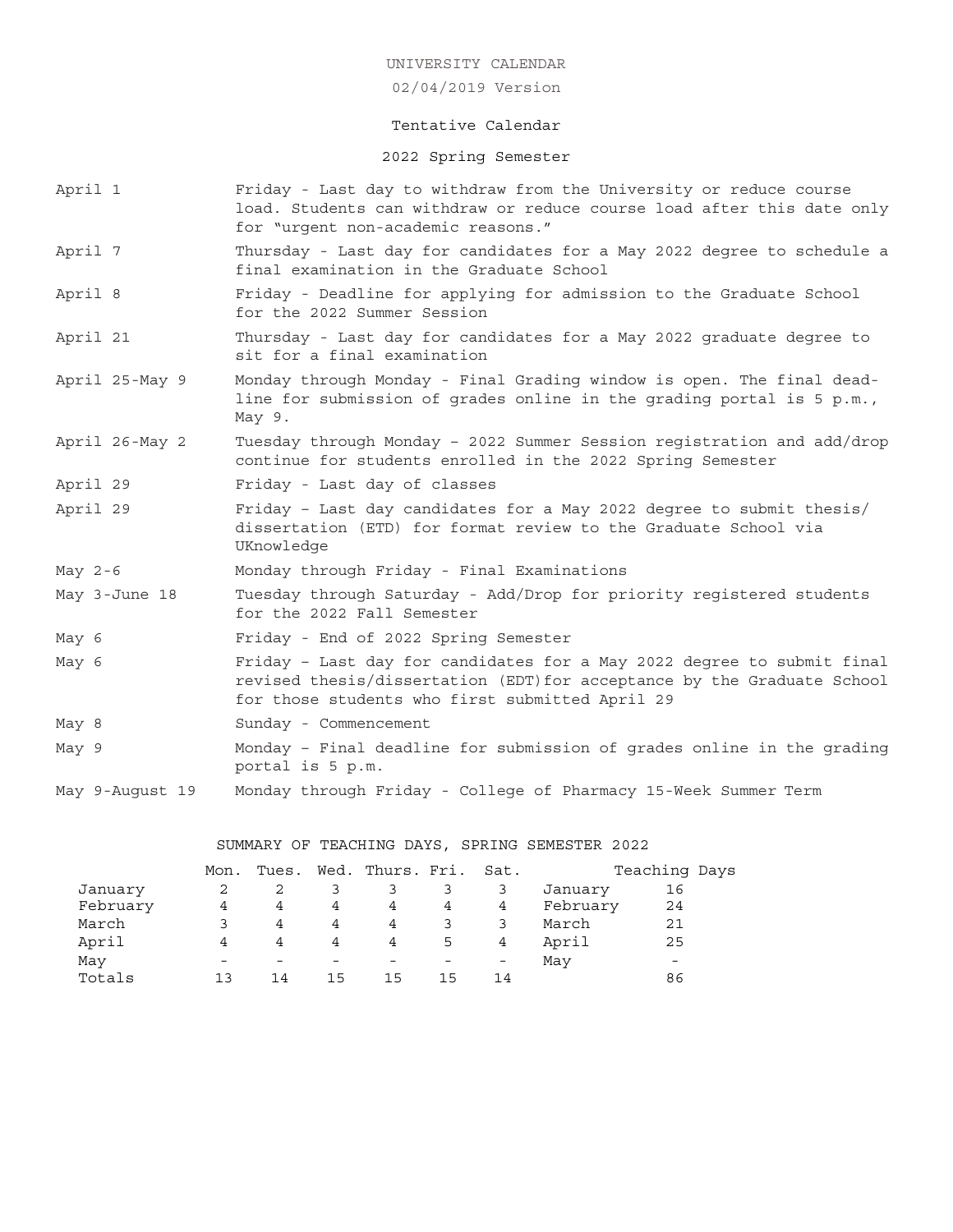02/04/2019 Version

## Tentative Calendar

2022 Spring Semester

- April 1 Friday Last day to withdraw from the University or reduce course load. Students can withdraw or reduce course load after this date only for "urgent non-academic reasons."
- April 7 Thursday Last day for candidates for a May 2022 degree to schedule a final examination in the Graduate School
- April 8 Friday Deadline for applying for admission to the Graduate School for the 2022 Summer Session
- April 21 Thursday Last day for candidates for a May 2022 graduate degree to sit for a final examination
- April 25-May 9 Monday through Monday Final Grading window is open. The final deadline for submission of grades online in the grading portal is 5 p.m., May 9.
- April 26-May 2 Tuesday through Monday 2022 Summer Session registration and add/drop continue for students enrolled in the 2022 Spring Semester
- April 29 Friday Last day of classes
- April 29 Friday Last day candidates for a May 2022 degree to submit thesis/ dissertation (ETD) for format review to the Graduate School via UKnowledge
- May 2-6 Monday through Friday Final Examinations
- May 3-June 18 Tuesday through Saturday Add/Drop for priority registered students for the 2022 Fall Semester
- May 6 Friday End of 2022 Spring Semester
- May 6 Friday Last day for candidates for a May 2022 degree to submit final revised thesis/dissertation (EDT)for acceptance by the Graduate School for those students who first submitted April 29
- May 8 Sunday Commencement
- May 9 Monday Final deadline for submission of grades online in the grading portal is 5 p.m.
- May 9-August 19 Monday through Friday College of Pharmacy 15-Week Summer Term

SUMMARY OF TEACHING DAYS, SPRING SEMESTER 2022

|          | Mon.            |                |    | Tues. Wed. Thurs. Fri. Sat. |    |    |          | Teaching Days            |  |
|----------|-----------------|----------------|----|-----------------------------|----|----|----------|--------------------------|--|
| January  |                 |                |    |                             |    |    | January  | 16                       |  |
| February | 4               | $\overline{4}$ | 4  | 4                           | 4  | 4  | February | 24                       |  |
| March    |                 | 4              | 4  | 4                           |    |    | March    | 21                       |  |
| April    | 4               | 4              | 4  | 4                           | 5  | 4  | April    | 25                       |  |
| May      | $\qquad \qquad$ |                |    |                             |    |    | May      | $\overline{\phantom{0}}$ |  |
| Totals   | ่ 1 ว           | 14             | 15 | 15                          | 15 | 14 |          | 86                       |  |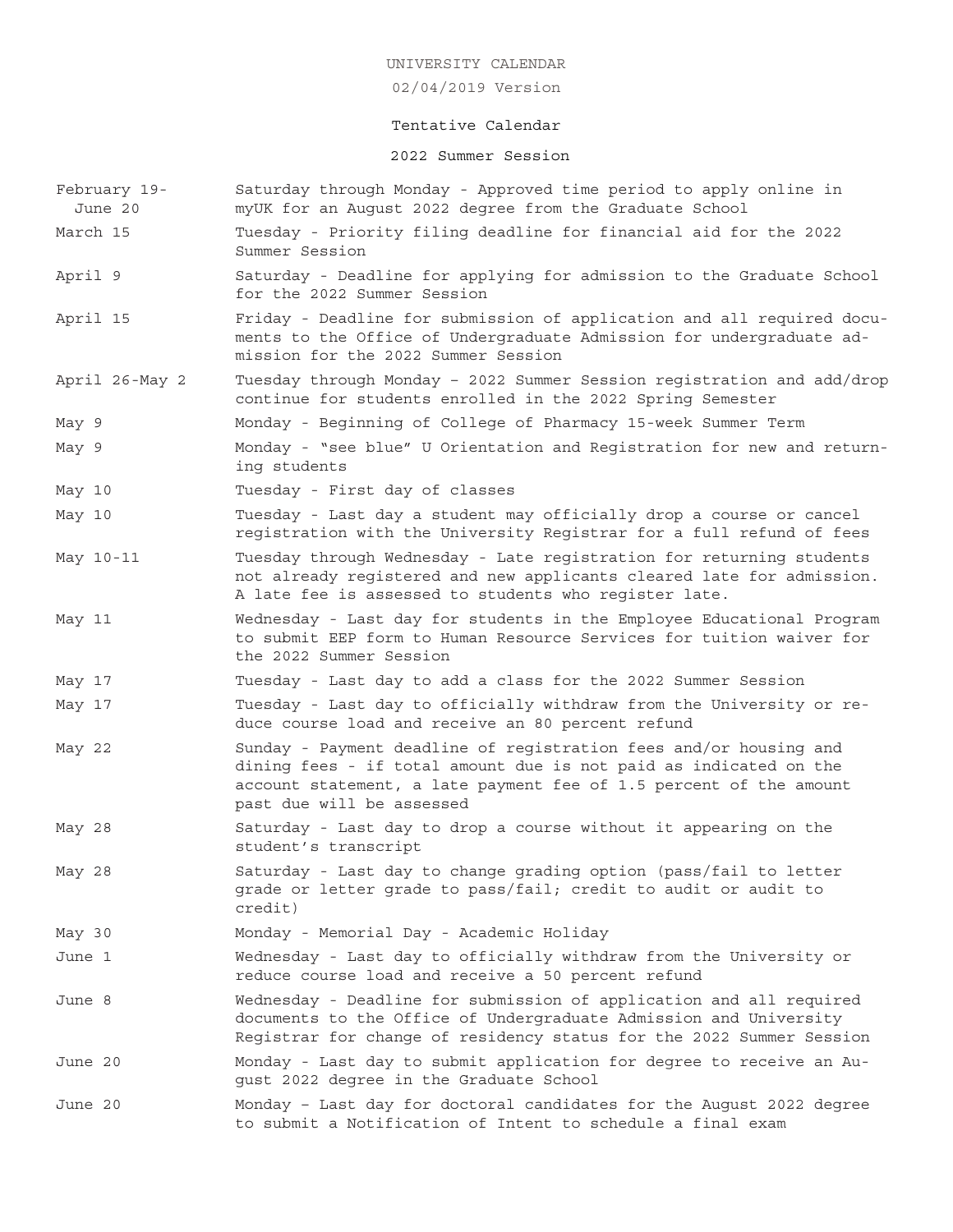02/04/2019 Version

# Tentative Calendar

# 2022 Summer Session

| February 19-<br>June 20 | Saturday through Monday - Approved time period to apply online in<br>myUK for an August 2022 degree from the Graduate School                                                                                                              |
|-------------------------|-------------------------------------------------------------------------------------------------------------------------------------------------------------------------------------------------------------------------------------------|
| March 15                | Tuesday - Priority filing deadline for financial aid for the 2022<br>Summer Session                                                                                                                                                       |
| April 9                 | Saturday - Deadline for applying for admission to the Graduate School<br>for the 2022 Summer Session                                                                                                                                      |
| April 15                | Friday - Deadline for submission of application and all required docu-<br>ments to the Office of Undergraduate Admission for undergraduate ad-<br>mission for the 2022 Summer Session                                                     |
| April 26-May 2          | Tuesday through Monday - 2022 Summer Session registration and add/drop<br>continue for students enrolled in the 2022 Spring Semester                                                                                                      |
| May 9                   | Monday - Beginning of College of Pharmacy 15-week Summer Term                                                                                                                                                                             |
| May 9                   | Monday - "see blue" U Orientation and Registration for new and return-<br>ing students                                                                                                                                                    |
| May 10                  | Tuesday - First day of classes                                                                                                                                                                                                            |
| May 10                  | Tuesday - Last day a student may officially drop a course or cancel<br>registration with the University Registrar for a full refund of fees                                                                                               |
| May 10-11               | Tuesday through Wednesday - Late registration for returning students<br>not already registered and new applicants cleared late for admission.<br>A late fee is assessed to students who register late.                                    |
| May 11                  | Wednesday - Last day for students in the Employee Educational Program<br>to submit EEP form to Human Resource Services for tuition waiver for<br>the 2022 Summer Session                                                                  |
| May 17                  | Tuesday - Last day to add a class for the 2022 Summer Session                                                                                                                                                                             |
| May 17                  | Tuesday - Last day to officially withdraw from the University or re-<br>duce course load and receive an 80 percent refund                                                                                                                 |
| May 22                  | Sunday - Payment deadline of registration fees and/or housing and<br>dining fees - if total amount due is not paid as indicated on the<br>account statement, a late payment fee of 1.5 percent of the amount<br>past due will be assessed |
| May 28                  | Saturday - Last day to drop a course without it appearing on the<br>student's transcript                                                                                                                                                  |
| May 28                  | Saturday - Last day to change grading option (pass/fail to letter<br>grade or letter grade to pass/fail; credit to audit or audit to<br>credit)                                                                                           |
| May 30                  | Monday - Memorial Day - Academic Holiday                                                                                                                                                                                                  |
| June 1                  | Wednesday - Last day to officially withdraw from the University or<br>reduce course load and receive a 50 percent refund                                                                                                                  |
| June 8                  | Wednesday - Deadline for submission of application and all required<br>documents to the Office of Undergraduate Admission and University<br>Registrar for change of residency status for the 2022 Summer Session                          |
| June 20                 | Monday - Last day to submit application for degree to receive an Au-<br>gust 2022 degree in the Graduate School                                                                                                                           |
| June 20                 | Monday - Last day for doctoral candidates for the August 2022 degree<br>to submit a Notification of Intent to schedule a final exam                                                                                                       |